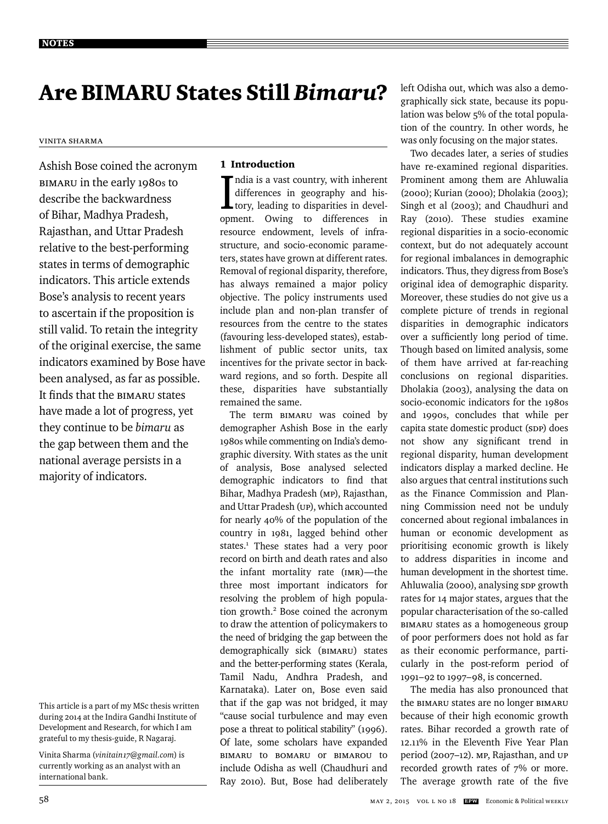# Are BIMARU States Still *Bimaru*?

# Vinita Sharma

Ashish Bose coined the acronym BIMARU in the early 1980s to describe the backwardness of Bihar, Madhya Pradesh, Rajasthan, and Uttar Pradesh relative to the best-performing states in terms of demographic indicators. This article extends Bose's analysis to recent years to ascertain if the proposition is still valid. To retain the integrity of the original exercise, the same indicators examined by Bose have been analysed, as far as possible. It finds that the BIMARU states have made a lot of progress, yet they continue to be *bimaru* as the gap between them and the national average persists in a majority of indicators.

Vinita Sharma (*vinitain17@gmail.com*) is currently working as an analyst with an international bank.

# 1 Introduction

India is a vast country, with inherent<br>differences in geography and his-<br>tory, leading to disparities in devel-<br>compart. Owing, to differences, in ndia is a vast country, with inherent differences in geography and hisopment. Owing to differences in resource endowment, levels of infrastructure, and socio-economic parameters, states have grown at different rates. Removal of regional disparity, therefore, has always remained a major policy objective. The policy instruments used include plan and non-plan transfer of resources from the centre to the states (favouring less-developed states), establishment of public sector units, tax incentives for the private sector in backward regions, and so forth. Despite all these, disparities have substantially remained the same.

The term BIMARU was coined by demographer Ashish Bose in the early 1980s while commenting on India's demographic diversity. With states as the unit of analysis, Bose analysed selected demographic indicators to find that Bihar, Madhya Pradesh (MP), Rajasthan, and Uttar Pradesh (UP), which accounted for nearly 40% of the population of the country in 1981, lagged behind other states.<sup>1</sup> These states had a very poor record on birth and death rates and also the infant mortality rate (IMR)—the three most important indicators for resolving the problem of high population growth.<sup>2</sup> Bose coined the acronym to draw the attention of policymakers to the need of bridging the gap between the demographically sick (BIMARU) states and the better-performing states (Kerala, Tamil Nadu, Andhra Pradesh, and Karnataka). Later on, Bose even said that if the gap was not bridged, it may "cause social turbulence and may even pose a threat to political stability" (1996). Of late, some scholars have expanded BIMARU to BOMARU or BIMAROU to include Odisha as well (Chaudhuri and Ray 2010). But, Bose had deliberately

left Odisha out, which was also a demographically sick state, because its population was below 5% of the total population of the country. In other words, he was only focusing on the major states.

Two decades later, a series of studies have re-examined regional disparities. Prominent among them are Ahluwalia (2000); Kurian (2000); Dholakia (2003); Singh et al (2003); and Chaudhuri and Ray (2010). These studies examine regional disparities in a socio-economic context, but do not adequately account for regional imbalances in demographic indicators. Thus, they digress from Bose's original idea of demographic disparity. Moreover, these studies do not give us a complete picture of trends in regional disparities in demographic indicators over a sufficiently long period of time. Though based on limited analysis, some of them have arrived at far-reaching conclusions on regional disparities. Dholakia (2003), analysing the data on socio-economic indicators for the 1980s and 1990s, concludes that while per capita state domestic product (SDP) does not show any significant trend in regional disparity, human development indicators display a marked decline. He also argues that central institutions such as the Finance Commission and Planning Commission need not be unduly concerned about regional imbalances in human or economic development as prioritising economic growth is likely to address disparities in income and human development in the shortest time. Ahluwalia (2000), analysing SDP growth rates for 14 major states, argues that the popular characterisation of the so-called BIMARU states as a homogeneous group of poor performers does not hold as far as their economic performance, particularly in the post-reform period of 1991–92 to 1997–98, is concerned.

The media has also pronounced that the BIMARU states are no longer BIMARU because of their high economic growth rates. Bihar recorded a growth rate of 12.11% in the Eleventh Five Year Plan period (2007–12). MP, Rajasthan, and UP recorded growth rates of 7% or more. The average growth rate of the five

This article is a part of my MSc thesis written during 2014 at the Indira Gandhi Institute of Development and Research, for which I am grateful to my thesis-guide, R Nagaraj.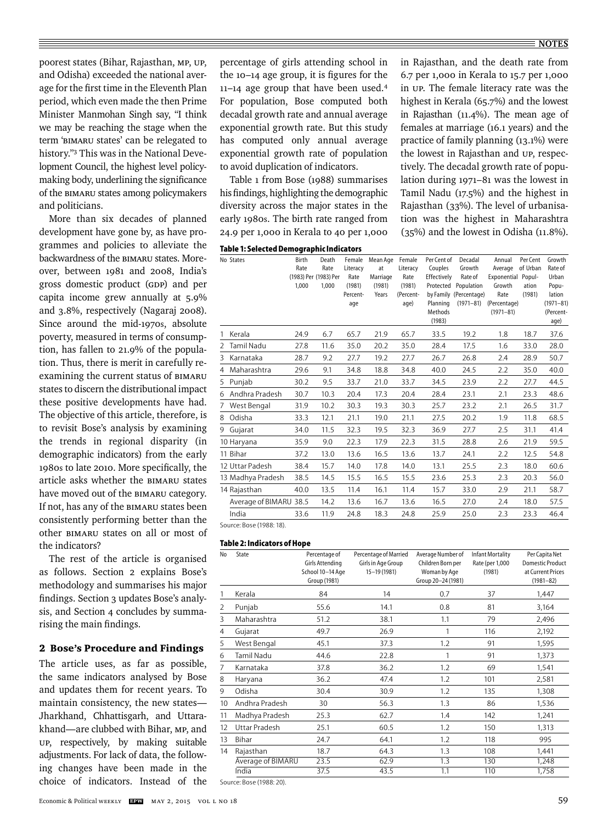poorest states (Bihar, Rajasthan, MP, UP, and Odisha) exceeded the national average for the first time in the Eleventh Plan period, which even made the then Prime Minister Manmohan Singh say, "I think we may be reaching the stage when the term 'BIMARU states' can be relegated to history."3 This was in the National Development Council, the highest level policymaking body, underlining the significance of the BIMARU states among policymakers and politicians.

More than six decades of planned development have gone by, as have programmes and policies to alleviate the backwardness of the BIMARU states. Moreover, between 1981 and 2008, India's gross domestic product (GDP) and per capita income grew annually at 5.9% and 3.8%, respectively (Nagaraj 2008). Since around the mid-1970s, absolute poverty, measured in terms of consumption, has fallen to 21.9% of the population. Thus, there is merit in carefully reexamining the current status of BIMARU states to discern the distributional impact these positive developments have had. The objective of this article, therefore, is to revisit Bose's analysis by examining the trends in regional disparity (in demographic indicators) from the early 1980s to late 2010. More specifically, the article asks whether the BIMARU states have moved out of the BIMARU category. If not, has any of the BIMARU states been consistently performing better than the other BIMARU states on all or most of the indicators?

The rest of the article is organised as follows. Section 2 explains Bose's methodology and summarises his major findings. Section 3 updates Bose's analysis, and Section 4 concludes by summarising the main findings.

# 2 Bose's Procedure and Findings

The article uses, as far as possible, the same indicators analysed by Bose and updates them for recent years. To maintain consistency, the new states— Jharkhand, Chhattisgarh, and Uttarakhand—are clubbed with Bihar, MP, and UP, respectively, by making suitable adjustments. For lack of data, the following changes have been made in the choice of indicators. Instead of the percentage of girls attending school in the 10-14 age group, it is figures for the 11–14 age group that have been used.4 For population, Bose computed both decadal growth rate and annual average exponential growth rate. But this study has computed only annual average exponential growth rate of population to avoid duplication of indicators.

Table 1 from Bose (1988) summarises his findings, highlighting the demographic diversity across the major states in the early 1980s. The birth rate ranged from 24.9 per 1,000 in Kerala to 40 per 1,000

|  |  |  |  | Table 1: Selected Demographic Indicators |
|--|--|--|--|------------------------------------------|
|--|--|--|--|------------------------------------------|

in Rajasthan, and the death rate from 6.7 per 1,000 in Kerala to 15.7 per 1,000 in UP. The female literacy rate was the highest in Kerala (65.7%) and the lowest in Rajasthan (11.4%). The mean age of females at marriage (16.1 years) and the practice of family planning (13.1%) were the lowest in Rajasthan and UP, respectively. The decadal growth rate of population during 1971–81 was the lowest in Tamil Nadu (17.5%) and the highest in Rajasthan (33%). The level of urbanisation was the highest in Maharashtra (35%) and the lowest in Odisha (11.8%).

|               | No States              | Birth<br>Rate<br>1,000 | Death<br>Rate<br>(1983) Per (1983) Per<br>1.000 | Female<br>Literacy<br>Rate<br>(1981)<br>Percent-<br>age | Mean Age<br>at<br>Marriage<br>(1981)<br>Years | Female<br>Literacy<br>Rate<br>(1981)<br>(Percent-<br>age) | Per Cent of<br>Couples<br>Effectively<br>Planning<br>Methods<br>(1983) | Decadal<br>Growth<br>Rate of<br>Protected Population<br>by Family (Percentage)<br>$(1971 - 81)$ | Annual<br>Average<br>Exponential Popul-<br>Growth<br>Rate<br>(Percentage)<br>$(1971 - 81)$ | Per Cent<br>of Urban<br>ation<br>(1981) | Growth<br>Rate of<br>Urban<br>Popu-<br>lation<br>$(1971 - 81)$<br>(Percent-<br>age) |
|---------------|------------------------|------------------------|-------------------------------------------------|---------------------------------------------------------|-----------------------------------------------|-----------------------------------------------------------|------------------------------------------------------------------------|-------------------------------------------------------------------------------------------------|--------------------------------------------------------------------------------------------|-----------------------------------------|-------------------------------------------------------------------------------------|
|               | Kerala                 | 24.9                   | 6.7                                             | 65.7                                                    | 21.9                                          | 65.7                                                      | 33.5                                                                   | 19.2                                                                                            | 1.8                                                                                        | 18.7                                    | 37.6                                                                                |
| $\mathcal{P}$ | Tamil Nadu             | 27.8                   | 11.6                                            | 35.0                                                    | 20.2                                          | 35.0                                                      | 28.4                                                                   | 17.5                                                                                            | 1.6                                                                                        | 33.0                                    | 28.0                                                                                |
| 3             | Karnataka              | 28.7                   | 9.2                                             | 27.7                                                    | 19.2                                          | 27.7                                                      | 26.7                                                                   | 26.8                                                                                            | 2.4                                                                                        | 28.9                                    | 50.7                                                                                |
| 4             | Maharashtra            | 29.6                   | 9.1                                             | 34.8                                                    | 18.8                                          | 34.8                                                      | 40.0                                                                   | 24.5                                                                                            | 2.2                                                                                        | 35.0                                    | 40.0                                                                                |
| 5             | Punjab                 | 30.2                   | 9.5                                             | 33.7                                                    | 21.0                                          | 33.7                                                      | 34.5                                                                   | 23.9                                                                                            | 2.2                                                                                        | 27.7                                    | 44.5                                                                                |
| 6             | Andhra Pradesh         | 30.7                   | 10.3                                            | 20.4                                                    | 17.3                                          | 20.4                                                      | 28.4                                                                   | 23.1                                                                                            | 2.1                                                                                        | 23.3                                    | 48.6                                                                                |
| 7             | West Bengal            | 31.9                   | 10.2                                            | 30.3                                                    | 19.3                                          | 30.3                                                      | 25.7                                                                   | 23.2                                                                                            | 2.1                                                                                        | 26.5                                    | 31.7                                                                                |
| 8             | Odisha                 | 33.3                   | 12.1                                            | 21.1                                                    | 19.0                                          | 21.1                                                      | 27.5                                                                   | 20.2                                                                                            | 1.9                                                                                        | 11.8                                    | 68.5                                                                                |
| 9             | Gujarat                | 34.0                   | 11.5                                            | 32.3                                                    | 19.5                                          | 32.3                                                      | 36.9                                                                   | 27.7                                                                                            | 2.5                                                                                        | 31.1                                    | 41.4                                                                                |
|               | 10 Haryana             | 35.9                   | 9.0                                             | 22.3                                                    | 17.9                                          | 22.3                                                      | 31.5                                                                   | 28.8                                                                                            | 2.6                                                                                        | 21.9                                    | 59.5                                                                                |
|               | 11 Bihar               | 37.2                   | 13.0                                            | 13.6                                                    | 16.5                                          | 13.6                                                      | 13.7                                                                   | 24.1                                                                                            | 2.2                                                                                        | 12.5                                    | 54.8                                                                                |
|               | 12 Uttar Padesh        | 38.4                   | 15.7                                            | 14.0                                                    | 17.8                                          | 14.0                                                      | 13.1                                                                   | 25.5                                                                                            | 2.3                                                                                        | 18.0                                    | 60.6                                                                                |
|               | 13 Madhya Pradesh      | 38.5                   | 14.5                                            | 15.5                                                    | 16.5                                          | 15.5                                                      | 23.6                                                                   | 25.3                                                                                            | 2.3                                                                                        | 20.3                                    | 56.0                                                                                |
|               | 14 Rajasthan           | 40.0                   | 13.5                                            | 11.4                                                    | 16.1                                          | 11.4                                                      | 15.7                                                                   | 33.0                                                                                            | 2.9                                                                                        | 21.1                                    | 58.7                                                                                |
|               | Average of BIMARU 38.5 |                        | 14.2                                            | 13.6                                                    | 16.7                                          | 13.6                                                      | 16.5                                                                   | 27.0                                                                                            | 2.4                                                                                        | 18.0                                    | 57.5                                                                                |
|               | India                  | 33.6                   | 11.9                                            | 24.8                                                    | 18.3                                          | 24.8                                                      | 25.9                                                                   | 25.0                                                                                            | 2.3                                                                                        | 23.3                                    | 46.4                                                                                |

Source: Bose (1988: 18).

## **Table 2: Indicators of Hope**

| No | State             | Percentage of<br><b>Girls Attending</b><br>School 10-14 Age<br>Group (1981) | Percentage of Married<br>Girls in Age Group<br>15-19 (1981) | Average Number of<br>Children Born per<br>Woman by Age<br>Group 20-24 (1981) | <b>Infant Mortality</b><br>Rate (per 1,000<br>(1981) | Per Capita Net<br><b>Domestic Product</b><br>at Current Prices<br>$(1981 - 82)$ |
|----|-------------------|-----------------------------------------------------------------------------|-------------------------------------------------------------|------------------------------------------------------------------------------|------------------------------------------------------|---------------------------------------------------------------------------------|
| 1  | Kerala            | 84                                                                          | 14                                                          | 0.7                                                                          | 37                                                   | 1,447                                                                           |
| 2  | Punjab            | 55.6                                                                        | 14.1                                                        | 0.8                                                                          | 81                                                   | 3,164                                                                           |
| 3  | Maharashtra       | 51.2                                                                        | 38.1                                                        | 1.1                                                                          | 79                                                   | 2,496                                                                           |
| 4  | Gujarat           | 49.7                                                                        | 26.9                                                        | 1                                                                            | 116                                                  | 2,192                                                                           |
| 5  | West Bengal       | 45.1                                                                        | 37.3                                                        | 1.2                                                                          | 91                                                   | 1,595                                                                           |
| 6  | Tamil Nadu        | 44.6                                                                        | 22.8                                                        | 1                                                                            | 91                                                   | 1,373                                                                           |
| 7  | Karnataka         | 37.8                                                                        | 36.2                                                        | 1.2                                                                          | 69                                                   | 1,541                                                                           |
| 8  | Haryana           | 36.2                                                                        | 47.4                                                        | 1.2                                                                          | 101                                                  | 2,581                                                                           |
| 9  | Odisha            | 30.4                                                                        | 30.9                                                        | 1.2                                                                          | 135                                                  | 1,308                                                                           |
| 10 | Andhra Pradesh    | 30                                                                          | 56.3                                                        | 1.3                                                                          | 86                                                   | 1,536                                                                           |
| 11 | Madhya Pradesh    | 25.3                                                                        | 62.7                                                        | 1.4                                                                          | 142                                                  | 1,241                                                                           |
| 12 | Uttar Pradesh     | 25.1                                                                        | 60.5                                                        | 1.2                                                                          | 150                                                  | 1,313                                                                           |
| 13 | Bihar             | 24.7                                                                        | 64.1                                                        | 1.2                                                                          | 118                                                  | 995                                                                             |
| 14 | Rajasthan         | 18.7                                                                        | 64.3                                                        | 1.3                                                                          | 108                                                  | 1,441                                                                           |
|    | Average of BIMARU | 23.5                                                                        | 62.9                                                        | 1.3                                                                          | 130                                                  | 1,248                                                                           |
|    | India             | 37.5                                                                        | 43.5                                                        | 1.1                                                                          | 110                                                  | 1,758                                                                           |
|    |                   |                                                                             |                                                             |                                                                              |                                                      |                                                                                 |

Source: Bose (1988: 20).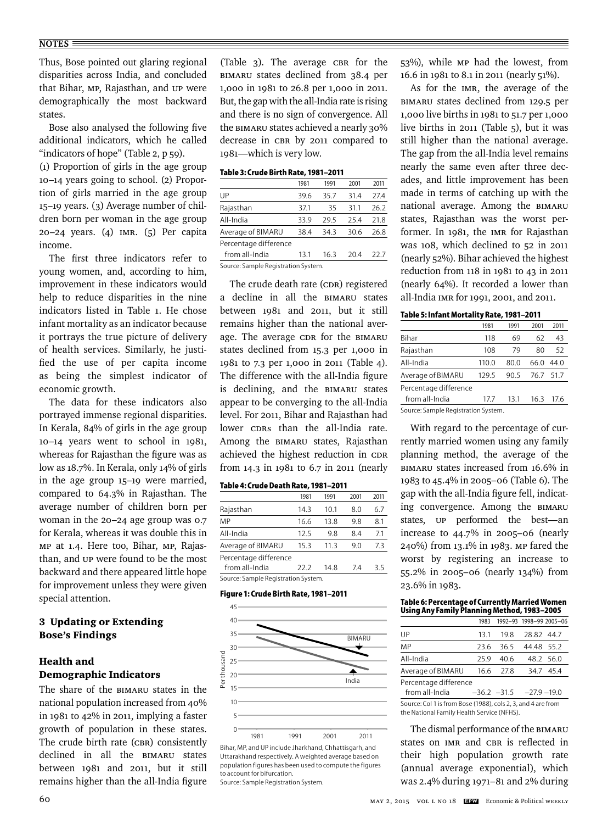Thus, Bose pointed out glaring regional disparities across India, and concluded that Bihar, MP, Rajasthan, and UP were demographically the most backward states.

Bose also analysed the following five additional indicators, which he called "indicators of hope" (Table 2, p 59).

(1) Proportion of girls in the age group 10–14 years going to school. (2) Proportion of girls married in the age group 15–19 years. (3) Average number of children born per woman in the age group 20–24 years. (4) IMR. (5) Per capita income.

The first three indicators refer to young women, and, according to him, improvement in these indicators would help to reduce disparities in the nine indicators listed in Table 1. He chose infant mortality as an indicator because it portrays the true picture of delivery of health services. Similarly, he justified the use of per capita income as being the simplest indicator of economic growth.

The data for these indicators also portrayed immense regional disparities. In Kerala, 84% of girls in the age group 10–14 years went to school in 1981, whereas for Rajasthan the figure was as low as 18.7%. In Kerala, only 14% of girls in the age group 15–19 were married, compared to 64.3% in Rajasthan. The average number of children born per woman in the 20–24 age group was 0.7 for Kerala, whereas it was double this in MP at 1.4. Here too, Bihar, MP, Rajasthan, and UP were found to be the most backward and there appeared little hope for improvement unless they were given special attention.

# 3 Updating or Extending Bose's Findings

# Health and Demographic Indicators

The share of the BIMARU states in the national population increased from 40% in 1981 to 42% in 2011, implying a faster growth of population in these states. The crude birth rate (CBR) consistently declined in all the BIMARU states between 1981 and 2011, but it still remains higher than the all-India figure

(Table 3). The average CBR for the BIMARU states declined from 38.4 per 1,000 in 1981 to 26.8 per 1,000 in 2011. But, the gap with the all-India rate is rising and there is no sign of convergence. All the BIMARU states achieved a nearly 30% decrease in CBR by 2011 compared to 1981—which is very low.

#### **Table 3: Crude Birth Rate, 1981–2011**

|                                                                      | 1981 | 1991 | 2001 | 2011 |
|----------------------------------------------------------------------|------|------|------|------|
| UP                                                                   | 39.6 | 35.7 | 31.4 | 27.4 |
| Rajasthan                                                            | 37.1 | 35   | 31.1 | 26.2 |
| All-India                                                            | 33.9 | 295  | 254  | 21.8 |
| Average of BIMARU                                                    | 38.4 | 343  | 30.6 | 26.8 |
| Percentage difference                                                |      |      |      |      |
| from all-India                                                       | 13.1 | 16.3 | 204  | 22 7 |
| $C_1$ . The second of $D_1$ is the second second $C_2$ is the second |      |      |      |      |

Source: Sample Registration System.

The crude death rate (CDR) registered a decline in all the BIMARU states between 1981 and 2011, but it still remains higher than the national average. The average CDR for the BIMARU states declined from 15.3 per 1,000 in 1981 to 7.3 per 1,000 in 2011 (Table 4). The difference with the all-India figure is declining, and the BIMARU states appear to be converging to the all-India level. For 2011, Bihar and Rajasthan had lower CDRs than the all-India rate. Among the BIMARU states, Rajasthan achieved the highest reduction in CDR from 14.3 in 1981 to 6.7 in 2011 (nearly

# **Table 4: Crude Death Rate, 1981–2011**

|                                                  | 1981 | 1991 | 2001 | 2011 |
|--------------------------------------------------|------|------|------|------|
| Rajasthan                                        | 14.3 | 10.1 | 8.0  | 6.7  |
| MP                                               | 16.6 | 13.8 | 9.8  | 8.1  |
| All-India                                        | 12.5 | 9.8  | 8.4  | 7.1  |
| Average of BIMARU                                | 15.3 | 11.3 | 9.0  | 73   |
| Percentage difference                            |      |      |      |      |
| from all-India                                   | 22 Z | 14 8 | 74   | 3.5  |
| $\sim$ $\sim$ $\sim$ $\sim$ $\sim$ $\sim$ $\sim$ |      |      |      |      |

Source: Sample Registration System.

# **Figure 1: Crude Birth Rate, 1981–2011** Crude Birth Rate



Bihar, MP, and UP include Jharkhand, Chhattisgarh, and Uttarakhand respectively. A weighted average based on population figures has been used to compute the figures to account for bifurcation. Source: Sample Registration System.

53%), while MP had the lowest, from 16.6 in 1981 to 8.1 in 2011 (nearly 51%).

As for the IMR, the average of the BIMARU states declined from 129.5 per 1,000 live births in 1981 to 51.7 per 1,000 live births in 2011 (Table 5), but it was still higher than the national average. The gap from the all-India level remains nearly the same even after three decades, and little improvement has been made in terms of catching up with the national average. Among the BIMARU states, Rajasthan was the worst performer. In 1981, the IMR for Rajasthan was 108, which declined to 52 in 2011 (nearly 52%). Bihar achieved the highest reduction from 118 in 1981 to 43 in 2011 (nearly 64%). It recorded a lower than all-India IMR for 1991, 2001, and 2011.

#### **Table 5: Infant Mortality Rate, 1981–2011**

|                                     | 1981  | 1991 | 2001 | 2011      |  |  |
|-------------------------------------|-------|------|------|-----------|--|--|
| Bihar                               | 118   | 69   | 62   | 43        |  |  |
| Rajasthan                           | 108   | 79   | 80   | 52        |  |  |
| All-India                           | 110.0 | 80.0 | 66.0 | 44 O      |  |  |
| Average of BIMARU                   | 129.5 | 90.5 |      | 76.7 51.7 |  |  |
| Percentage difference               |       |      |      |           |  |  |
| from all-India                      | 177   | 13.1 | 16.3 | 17.6      |  |  |
| Source: Sample Registration System. |       |      |      |           |  |  |

With regard to the percentage of currently married women using any family planning method, the average of the BIMARU states increased from 16.6% in 1983 to 45.4% in 2005–06 (Table 6). The gap with the all-India figure fell, indicating convergence. Among the BIMARU states, UP performed the best—an increase to 44.7% in 2005–06 (nearly 240%) from 13.1% in 1983. MP fared the worst by registering an increase to 55.2% in 2005–06 (nearly 134%) from 23.6% in 1983.

#### **Table 6: Percentage of Currently Married Women Using Any Family Planning Method, 1983–2005**

|                       |     | 1983 1992-93 1998-99 2005-06    |            |           |  |
|-----------------------|-----|---------------------------------|------------|-----------|--|
| UP                    | 131 | 19.8                            | 28.82 44.7 |           |  |
| ΜP                    |     | 23.6 36.5 44.48 55.2            |            |           |  |
| All-India             | 259 | 40.6                            |            | 48.2 56.0 |  |
| Average of BIMARU     |     | 16.6 27.8                       |            | 347 454   |  |
| Percentage difference |     |                                 |            |           |  |
| from all-India        |     | $-36.2$ $-31.5$ $-27.9$ $-19.0$ |            |           |  |

Source: Col 1 is from Bose (1988), cols 2, 3, and 4 are from the National Family Health Service (NFHS).

The dismal performance of the BIMARU states on IMR and CBR is reflected in their high population growth rate (annual average exponential), which was 2.4% during 1971–81 and 2% during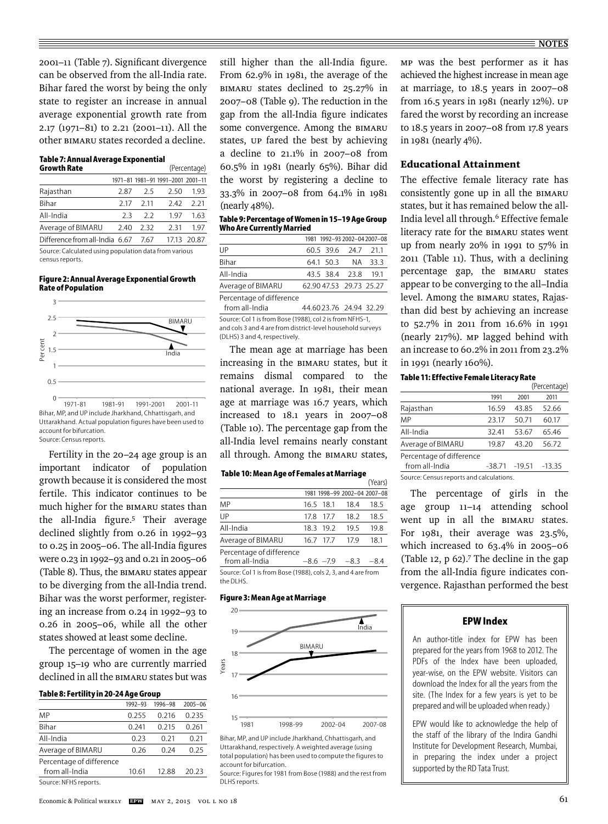2001–11 (Table 7). Significant divergence can be observed from the all-India rate. Bihar fared the worst by being the only state to register an increase in annual average exponential growth rate from 2.17 (1971–81) to 2.21 (2001–11). All the other BIMARU states recorded a decline.

# **Table 7: Annual Average Exponential**

| <b>Growth Rate</b>             | (Percentage) |       |                                   |             |  |
|--------------------------------|--------------|-------|-----------------------------------|-------------|--|
|                                |              |       | 1971-81 1981-91 1991-2001 2001-11 |             |  |
| Rajasthan                      | 2.87         | -25   | 2.50                              | 193         |  |
| <b>Bihar</b>                   | 2 17         | 2 1 1 | 242                               | 2.21        |  |
| All-India                      | 23           | 22    | 197                               | 1.63        |  |
| Average of BIMARU              | 240          | 232   | 231                               | 197         |  |
| Difference from all-India 6.67 |              | 767   |                                   | 17.13 20.87 |  |
|                                |              |       |                                   |             |  |

Source: Calculated using population data from various census reports.

#### **Figure 2: Annual Average Exponential Growth Rate of Population**  $\alpha$



Bihar, MP, and UP include Jharkhand, Chhattisgarh, and Uttarakhand. Actual population figures have been used to account for bifurcation. Source: Census reports.

Fertility in the 20–24 age group is an important indicator of population growth because it is considered the most fertile. This indicator continues to be much higher for the BIMARU states than the all-India figure.<sup>5</sup> Their average declined slightly from 0.26 in 1992–93 to  $0.25$  in  $2005-06$ . The all-India figures were 0.23 in 1992–93 and 0.21 in 2005–06 (Table 8). Thus, the BIMARU states appear to be diverging from the all-India trend. Bihar was the worst performer, registering an increase from 0.24 in 1992–93 to 0.26 in 2005–06, while all the other states showed at least some decline.

The percentage of women in the age group 15–19 who are currently married declined in all the BIMARU states but was

# **Table 8: Fertility in 20-24 Age Group**

|                          | 1992-93 | 1996-98 | $2005 - 06$ |
|--------------------------|---------|---------|-------------|
| MP                       | 0.255   | 0.216   | 0.235       |
| Bihar                    | 0.241   | 0.215   | 0.261       |
| All-India                | 0.23    | 0.21    | 0.21        |
| Average of BIMARU        | 0.26    | 0.24    | 0.25        |
| Percentage of difference |         |         |             |
| from all-India           | 10.61   | 12.88   | 20.23       |
| Source: NFHS reports.    |         |         |             |

still higher than the all-India figure. From 62.9% in 1981, the average of the BIMARU states declined to 25.27% in 2007–08 (Table 9). The reduction in the gap from the all-India figure indicates some convergence. Among the BIMARU states, UP fared the best by achieving a decline to 21.1% in 2007–08 from 60.5% in 1981 (nearly 65%). Bihar did the worst by registering a decline to 33.3% in 2007–08 from 64.1% in 1981 (nearly 48%).

| Table 9: Percentage of Women in 15–19 Age Group |  |  |
|-------------------------------------------------|--|--|
| <b>Who Are Currently Married</b>                |  |  |

|                          |  |                        | 1981 1992-93 2002-04 2007-08 |
|--------------------------|--|------------------------|------------------------------|
| UP                       |  | 605 396 247 211        |                              |
| <b>Bihar</b>             |  | 64.1 50.3 NA 33.3      |                              |
| All-India                |  | 43.5 38.4 23.8         | 191                          |
| Average of BIMARU        |  | 62.9047.53 29.73 25.27 |                              |
| Percentage of difference |  |                        |                              |

 from all-India 44.60 23.76 24.94 32.29 Source: Col 1 is from Bose (1988), col 2 is from NFHS-1, and cols 3 and 4 are from district-level household surveys (DLHS) 3 and 4, respectively.

The mean age at marriage has been increasing in the BIMARU states, but it remains dismal compared to the national average. In 1981, their mean age at marriage was 16.7 years, which increased to 18.1 years in 2007–08 (Table 10). The percentage gap from the all-India level remains nearly constant all through. Among the BIMARU states,

#### **Table 10: Mean Age of Females at Marriage**

|                                            |      |            |                              | (Years) |
|--------------------------------------------|------|------------|------------------------------|---------|
|                                            |      |            | 1981 1998-99 2002-04 2007-08 |         |
| MP                                         |      | 16.5 18.1  | 18.4                         | 18.5    |
| UP                                         | 17.8 | -17.7      | 18.2                         | 18.5    |
| All-India                                  |      | 183 192    | 19.5                         | 19.8    |
| Average of BIMARU                          |      | 16.7 17.7  | 179                          | 18.1    |
| Percentage of difference<br>from all-India |      | $-86 - 79$ | $-83$                        | $-8.4$  |

Source: Col 1 is from Bose (1988), cols 2, 3, and 4 are from the DLHS.

#### **Figure 3: Mean Age at Marriage**



Bihar, MP, and UP include Jharkhand, Chhattisgarh, and Uttarakhand, respectively. A weighted average (using total population) has been used to compute the figures to account for bifurcation.

Source: Figures for 1981 from Bose (1988) and the rest from DLHS reports.

MP was the best performer as it has achieved the highest increase in mean age at marriage, to 18.5 years in 2007–08 from 16.5 years in 1981 (nearly 12%). UP fared the worst by recording an increase to 18.5 years in 2007–08 from 17.8 years in 1981 (nearly 4%).

# Educational Attainment

The effective female literacy rate has consistently gone up in all the BIMARU states, but it has remained below the all-India level all through.6 Effective female literacy rate for the BIMARU states went up from nearly 20% in 1991 to 57% in 2011 (Table 11). Thus, with a declining percentage gap, the BIMARU states appear to be converging to the all–India level. Among the BIMARU states, Rajasthan did best by achieving an increase to 52.7% in 2011 from 16.6% in 1991 (nearly 217%). MP lagged behind with an increase to 60.2% in 2011 from 23.2% in 1991 (nearly 160%).

#### **Table 11: Effective Female Literacy Rate**  (Percentage)

|                                          |          |          | $1.9$ . $2.2$ . $1.9$ . $4.9$ |  |  |
|------------------------------------------|----------|----------|-------------------------------|--|--|
|                                          | 1991     | 2001     | 2011                          |  |  |
| Rajasthan                                | 16.59    | 43.85    | 52.66                         |  |  |
| MP                                       | 23.17    | 50.71    | 60.17                         |  |  |
| All-India                                | 32.41    | 53.67    | 65.46                         |  |  |
| Average of BIMARU                        | 19.87    | 43.20    | 56.72                         |  |  |
| Percentage of difference                 |          |          |                               |  |  |
| from all-India                           | $-38.71$ | $-19.51$ | $-13.35$                      |  |  |
| Source: Census reports and calculations. |          |          |                               |  |  |

The percentage of girls in the age group 11–14 attending school went up in all the BIMARU states. For 1981, their average was 23.5%, which increased to 63.4% in 2005–06 (Table 12, p 62).<sup>7</sup> The decline in the gap from the all-India figure indicates convergence. Rajasthan performed the best

#### **EPW Index**

An author-title index for EPW has been prepared for the years from 1968 to 2012. The PDFs of the Index have been uploaded, year-wise, on the EPW website. Visitors can download the Index for all the years from the site. (The Index for a few years is yet to be prepared and will be uploaded when ready.)

EPW would like to acknowledge the help of the staff of the library of the Indira Gandhi Institute for Development Research, Mumbai, in preparing the index under a project supported by the RD Tata Trust.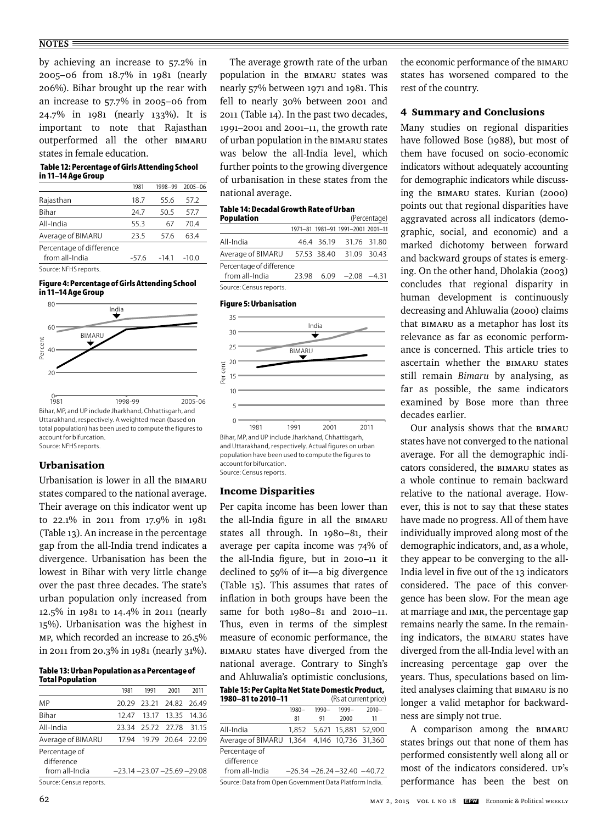#### **NOTES**

by achieving an increase to 57.2% in 2005–06 from 18.7% in 1981 (nearly 206%). Bihar brought up the rear with an increase to 57.7% in 2005–06 from 24.7% in 1981 (nearly 133%). It is important to note that Rajasthan outperformed all the other BIMARU states in female education.

#### **Table 12: Percentage of Girls Attending School in 11–14 Age Group**

|                                            | 1981    | 1998-99 | $2005 - 06$ |
|--------------------------------------------|---------|---------|-------------|
| Rajasthan                                  | 18.7    | 55.6    | 57.2        |
| Bihar                                      | 24.7    | 50.5    | 57.7        |
| All-India                                  | 55.3    | 67      | 70.4        |
| Average of BIMARU                          | 23.5    | 57.6    | 634         |
| Percentage of difference<br>from all-India | $-57.6$ | $-14.1$ | $-10.0$     |
| Source: NEHS reports.                      |         |         |             |

#### Girls attending school 11-14 age group **in 11–14 Age Group Figure 4: Percentage of Girls Attending School**



Uttarakhand, respectively. A weighted mean (based on total population) has been used to compute the figures to account for bifurcation. Source: NFHS reports.

# Urbanisation

Urbanisation is lower in all the BIMARU states compared to the national average. Their average on this indicator went up to 22.1% in 2011 from 17.9% in 1981 (Table 13). An increase in the percentage gap from the all-India trend indicates a divergence. Urbanisation has been the lowest in Bihar with very little change over the past three decades. The state's urban population only increased from 12.5% in 1981 to 14.4% in 2011 (nearly 15%). Urbanisation was the highest in MP, which recorded an increase to 26.5% in 2011 from 20.3% in 1981 (nearly 31%).

#### **Table 13: Urban Population as a Percentage of Total Population**

|                             | 1981                             | 1991                    | 2001              | 2011  |
|-----------------------------|----------------------------------|-------------------------|-------------------|-------|
| MP                          |                                  | 20.29 23.21 24.82 26.49 |                   |       |
| <b>Bihar</b>                | 12.47                            |                         | 13.17 13.35       | 14 36 |
| All-India                   | 23.34                            |                         | 25.72 27.78       | 31.15 |
| Average of BIMARU           | 1794                             |                         | 19.79 20.64 22.09 |       |
| Percentage of<br>difference |                                  |                         |                   |       |
| from all-India              | $-23.14 - 23.07 - 25.69 - 29.08$ |                         |                   |       |
| Source: Census reports.     |                                  |                         |                   |       |

The average growth rate of the urban population in the BIMARU states was nearly 57% between 1971 and 1981. This fell to nearly 30% between 2001 and 2011 (Table 14). In the past two decades, 1991–2001 and 2001–11, the growth rate of urban population in the BIMARU states was below the all-India level, which further points to the growing divergence of urbanisation in these states from the national average.

# **Table 14: Decadal Growth Rate of Urban**

| <b>Population</b>        |       |             |                                   | (Percentage) |
|--------------------------|-------|-------------|-----------------------------------|--------------|
|                          |       |             | 1971-81 1981-91 1991-2001 2001-11 |              |
| All-India                |       |             | 46.4 36.19 31.76 31.80            |              |
| Average of BIMARU        |       | 57.53 38.40 | 31.09 30.43                       |              |
| Percentage of difference |       |             |                                   |              |
| from all-India           | 23.98 |             | $6.09 - 2.08$                     | $-431$       |

|                         | ---- | $\sim$ | $\sim\,$ | . |
|-------------------------|------|--------|----------|---|
| Source: Census reports. |      |        |          |   |

# **Figure 5: Urbanisation**



and Uttarakhand, respectively. Actual figures on urban population have been used to compute the figures to account for bifurcation. Source: Census reports.

## Income Disparities

Per capita income has been lower than the all-India figure in all the BIMARU states all through. In 1980–81, their average per capita income was 74% of the all-India figure, but in  $2010 - 11$  it declined to 59% of it—a big divergence (Table 15). This assumes that rates of inflation in both groups have been the same for both 1980–81 and 2010–11. Thus, even in terms of the simplest measure of economic performance, the BIMARU states have diverged from the national average. Contrary to Singh's and Ahluwalia's optimistic conclusions,

# **Table 15: Per Capita Net State Domestic Product,**

| 1980-81 to 2010-11                                     |          |          | (Rs at current price)            |          |  |
|--------------------------------------------------------|----------|----------|----------------------------------|----------|--|
|                                                        | $1980 -$ | $1990 -$ | 1999-                            | $2010 -$ |  |
|                                                        | 81       | 91       | 2000                             | 11       |  |
| All-India                                              | 1.852    |          | 5,621 15,881 52,900              |          |  |
| Average of BIMARU                                      |          |          | 1,364 4,146 10,736 31,360        |          |  |
| Percentage of                                          |          |          |                                  |          |  |
| difference                                             |          |          |                                  |          |  |
| from all-India                                         |          |          | $-26.34 - 26.24 - 32.40 - 40.72$ |          |  |
| Source: Data from Open Government Data Platform India. |          |          |                                  |          |  |

the economic performance of the BIMARU states has worsened compared to the rest of the country.

# 4 Summary and Conclusions

Many studies on regional disparities have followed Bose (1988), but most of them have focused on socio-economic indicators without adequately accounting for demographic indicators while discussing the BIMARU states. Kurian (2000) points out that regional disparities have aggravated across all indicators (demographic, social, and economic) and a marked dichotomy between forward and backward groups of states is emerging. On the other hand, Dholakia (2003) concludes that regional disparity in human development is continuously decreasing and Ahluwalia (2000) claims that BIMARU as a metaphor has lost its relevance as far as economic performance is concerned. This article tries to ascertain whether the BIMARU states still remain *Bimaru* by analysing, as far as possible, the same indicators examined by Bose more than three decades earlier.

Our analysis shows that the BIMARU states have not converged to the national average. For all the demographic indicators considered, the BIMARU states as a whole continue to remain backward relative to the national average. However, this is not to say that these states have made no progress. All of them have individually improved along most of the demographic indicators, and, as a whole, they appear to be converging to the all-India level in five out of the 13 indicators considered. The pace of this convergence has been slow. For the mean age at marriage and IMR, the percentage gap remains nearly the same. In the remaining indicators, the BIMARU states have diverged from the all-India level with an increasing percentage gap over the years. Thus, speculations based on limited analyses claiming that BIMARU is no longer a valid metaphor for backwardness are simply not true.

A comparison among the BIMARU states brings out that none of them has performed consistently well along all or most of the indicators considered. UP's performance has been the best on